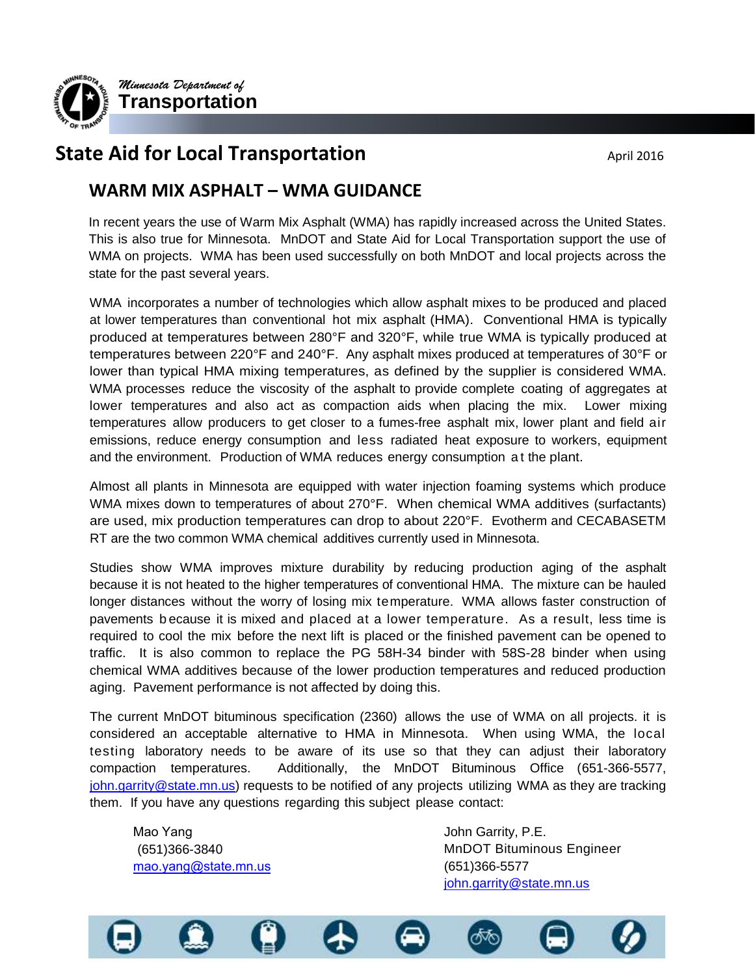

# **State Aid for Local Transportation April 2016** April 2016

# **WARM MIX ASPHALT – WMA GUIDANCE**

In recent years the use of Warm Mix Asphalt (WMA) has rapidly increased across the United States. This is also true for Minnesota. MnDOT and State Aid for Local Transportation support the use of WMA on projects. WMA has been used successfully on both MnDOT and local projects across the state for the past several years.

WMA incorporates a number of technologies which allow asphalt mixes to be produced and placed at lower temperatures than conventional hot mix asphalt (HMA). Conventional HMA is typically produced at temperatures between 280°F and 320°F, while true WMA is typically produced at temperatures between 220°F and 240°F. Any asphalt mixes produced at temperatures of 30°F or lower than typical HMA mixing temperatures, as defined by the supplier is considered WMA. WMA processes reduce the viscosity of the asphalt to provide complete coating of aggregates at lower temperatures and also act as compaction aids when placing the mix. Lower mixing temperatures allow producers to get closer to a fumes-free asphalt mix, lower plant and field air emissions, reduce energy consumption and less radiated heat exposure to workers, equipment and the environment. Production of WMA reduces energy consumption a t the plant.

Almost all plants in Minnesota are equipped with water injection foaming systems which produce WMA mixes down to temperatures of about 270°F. When chemical WMA additives (surfactants) are used, mix production temperatures can drop to about 220°F. Evotherm and CECABASETM RT are the two common WMA chemical additives currently used in Minnesota.

Studies show WMA improves mixture durability by reducing production aging of the asphalt because it is not heated to the higher temperatures of conventional HMA. The mixture can be hauled longer distances without the worry of losing mix temperature. WMA allows faster construction of pavements b ecause it is mixed and placed at a lower temperature. As a result, less time is required to cool the mix before the next lift is placed or the finished pavement can be opened to traffic. It is also common to replace the PG 58H-34 binder with 58S-28 binder when using chemical WMA additives because of the lower production temperatures and reduced production aging. Pavement performance is not affected by doing this.

The current MnDOT bituminous specification (2360) allows the use of WMA on all projects. it is considered an acceptable alternative to HMA in Minnesota. When using WMA, the local testing laboratory needs to be aware of its use so that they can adjust their laboratory compaction temperatures. Additionally, the MnDOT Bituminous Office (651-366-5577, [john.garrity@state.mn.us\)](mailto:john.garrity@state.mn.us.) requests to be notified of any projects utilizing WMA as they are tracking them. If you have any questions regarding this subject please contact:

Mao Yang (651)366-3840 mao.yang@state.mn.us John Garrity, P.E. MnDOT Bituminous Engineer (651)366-5577 [john.garrity@state.mn.us](mailto:john.garrity@state.mn.us.)